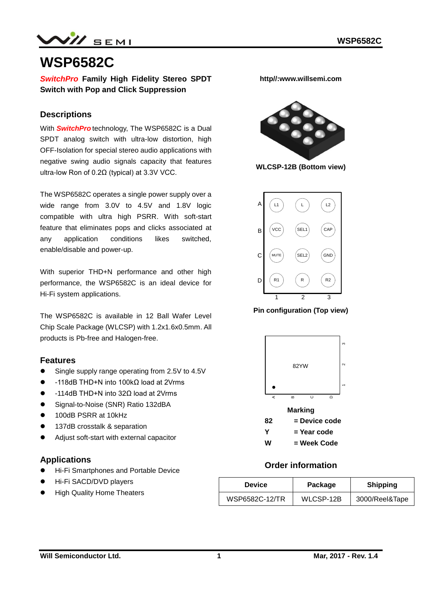$N$ // SEMI

# **WSP6582C**

*SwitchPro* **Family High Fidelity Stereo SPDT Switch with Pop and Click Suppression**

### **Descriptions**

With *SwitchPro* technology, The WSP6582C is a Dual SPDT analog switch with ultra-low distortion, high OFF-Isolation for special stereo audio applications with negative swing audio signals capacity that features ultra-low Ron of 0.2Ω (typical) at 3.3V VCC.

The WSP6582C operates a single power supply over a wide range from 3.0V to 4.5V and 1.8V logic compatible with ultra high PSRR. With soft-start feature that eliminates pops and clicks associated at any application conditions likes switched, enable/disable and power-up.

With superior THD+N performance and other high performance, the WSP6582C is an ideal device for Hi-Fi system applications.

The WSP6582C is available in 12 Ball Wafer Level Chip Scale Package (WLCSP) with 1.2x1.6x0.5mm. All products is Pb-free and Halogen-free.

#### **Features**

- Single supply range operating from 2.5V to 4.5V
- -118dB THD+N into 100kΩ load at 2Vrms
- -114dB THD+N into 32Ω load at 2Vrms
- Signal-to-Noise (SNR) Ratio 132dBA
- 100dB PSRR at 10kHz
- **137dB crosstalk & separation**
- Adjust soft-start with external capacitor

#### **Applications**

- **Hi-Fi Smartphones and Portable Device**
- Hi-Fi SACD/DVD players
- High Quality Home Theaters

**http//:www.willsemi.com**



**WLCSP-12B (Bottom view)**



**Pin configuration (Top view)**



**W = Week Code**

## **Order information**

| <b>Device</b>  | Package   | <b>Shipping</b> |  |
|----------------|-----------|-----------------|--|
| WSP6582C-12/TR | WLCSP-12B | 3000/Reel&Tape  |  |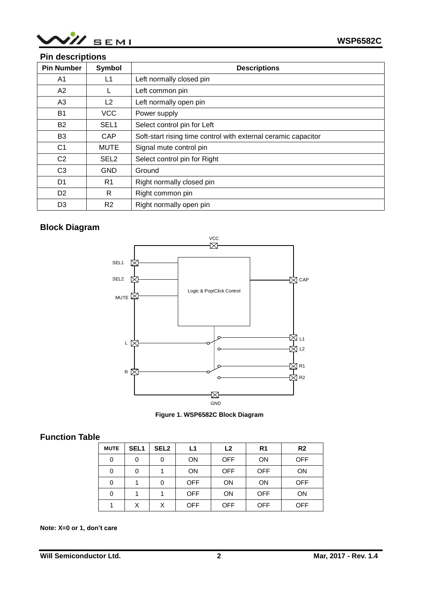

## **Pin descriptions**

| <b>Pin Number</b> | Symbol           | <b>Descriptions</b>                                            |
|-------------------|------------------|----------------------------------------------------------------|
| A1                | L1               | Left normally closed pin                                       |
| A2                |                  | Left common pin                                                |
| A3                | L <sub>2</sub>   | Left normally open pin                                         |
| <b>B1</b>         | <b>VCC</b>       | Power supply                                                   |
| <b>B2</b>         | SEL <sub>1</sub> | Select control pin for Left                                    |
| B <sub>3</sub>    | CAP.             | Soft-start rising time control with external ceramic capacitor |
| C <sub>1</sub>    | <b>MUTE</b>      | Signal mute control pin                                        |
| C <sub>2</sub>    | SEL <sub>2</sub> | Select control pin for Right                                   |
| C <sub>3</sub>    | <b>GND</b>       | Ground                                                         |
| D1                | R <sub>1</sub>   | Right normally closed pin                                      |
| D <sub>2</sub>    | R                | Right common pin                                               |
| D <sub>3</sub>    | R <sub>2</sub>   | Right normally open pin                                        |

## **Block Diagram**





## **Function Table**

| <b>MUTE</b> | SEL <sub>1</sub> | SEL <sub>2</sub> | L1         | L <sub>2</sub> | R <sub>1</sub> | R <sub>2</sub> |
|-------------|------------------|------------------|------------|----------------|----------------|----------------|
| 0           | 0                | 0                | <b>ON</b>  | <b>OFF</b>     | <b>ON</b>      | <b>OFF</b>     |
| 0           | 0                |                  | ON         | <b>OFF</b>     | <b>OFF</b>     | ON             |
| 0           |                  | 0                | <b>OFF</b> | <b>ON</b>      | <b>ON</b>      | <b>OFF</b>     |
| 0           |                  |                  | <b>OFF</b> | <b>ON</b>      | <b>OFF</b>     | ON             |
|             | X                | X                | <b>OFF</b> | <b>OFF</b>     | <b>OFF</b>     | <b>OFF</b>     |

#### **Note: X=0 or 1, don't care**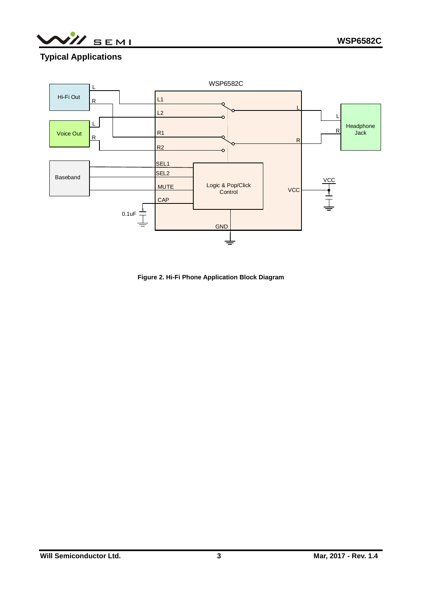/// SEMI

# **Typical Applications**



**Figure 2. Hi-Fi Phone Application Block Diagram**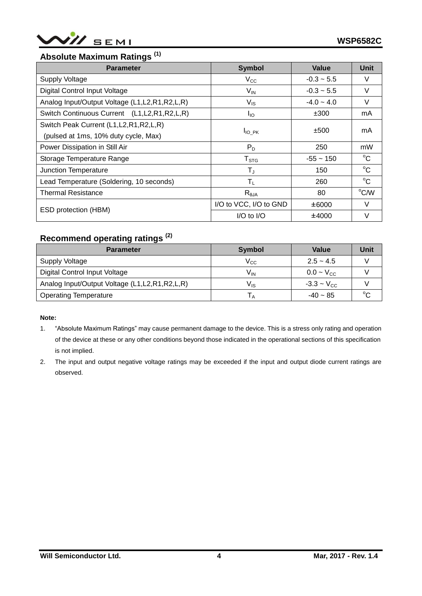

# **Absolute Maximum Ratings (1)**

| <b>Parameter</b>                                   | <b>Symbol</b>          | Value          | <b>Unit</b>  |
|----------------------------------------------------|------------------------|----------------|--------------|
| <b>Supply Voltage</b>                              | $V_{\rm CC}$           | $-0.3 - 5.5$   | V            |
| Digital Control Input Voltage                      | $V_{\text{IN}}$        | $-0.3 - 5.5$   | V            |
| Analog Input/Output Voltage (L1, L2, R1, R2, L, R) | $V_{\text{IS}}$        | $-4.0 - 4.0$   | V            |
| Switch Continuous Current (L1, L2, R1, R2, L, R)   | $I_{IO}$               | ±300           | mA           |
| Switch Peak Current (L1, L2, R1, R2, L, R)         |                        |                |              |
| (pulsed at 1ms, 10% duty cycle, Max)               | ±500<br>$I_{IO}$ PK    |                | mA           |
| Power Dissipation in Still Air                     | $P_D$                  | 250            | mW           |
| Storage Temperature Range                          | $T_{\mathtt{STG}}$     | $-55 \sim 150$ | $^{\circ}C$  |
| Junction Temperature                               | $T_{J}$                | 150            | $^{\circ}C$  |
| Lead Temperature (Soldering, 10 seconds)           | $T_{\rm L}$            | 260            | $^{\circ}$ C |
| <b>Thermal Resistance</b>                          | $R_{\theta$ JA         | 80             | °C/W         |
|                                                    | I/O to VCC, I/O to GND | ±6000          | $\vee$       |
| ESD protection (HBM)                               | $I/O$ to $I/O$         | ±4000          | V            |

# **Recommend operating ratings (2)**

| <b>Parameter</b>                                   | <b>Symbol</b> | <b>Value</b>          | Unit |
|----------------------------------------------------|---------------|-----------------------|------|
| Supply Voltage                                     | $\rm V_{CC}$  | $2.5 - 4.5$           |      |
| Digital Control Input Voltage                      | $V_{IN}$      | $0.0 - V_{\text{CC}}$ |      |
| Analog Input/Output Voltage (L1, L2, R1, R2, L, R) | Vıs           | $-3.3 - V_{CC}$       |      |
| <b>Operating Temperature</b>                       |               | $-40 - 85$            |      |

#### **Note:**

- 1. "Absolute Maximum Ratings" may cause permanent damage to the device. This is a stress only rating and operation of the device at these or any other conditions beyond those indicated in the operational sections of this specification is not implied.
- 2. The input and output negative voltage ratings may be exceeded if the input and output diode current ratings are observed.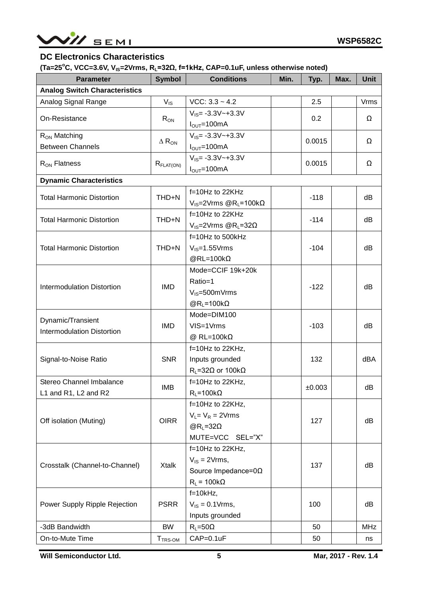

## **DC Electronics Characteristics**

**(Ta=25<sup>o</sup>C, VCC=3.6V, VIS=2Vrms, RL=32Ω, f=1kHz, CAP=0.1uF, unless otherwise noted)**

| <b>Parameter</b>                                | <b>Symbol</b>            | <b>Conditions</b>                                       | Min. | Typ.                                                                                                            | Max. | <b>Unit</b> |
|-------------------------------------------------|--------------------------|---------------------------------------------------------|------|-----------------------------------------------------------------------------------------------------------------|------|-------------|
| <b>Analog Switch Characteristics</b>            |                          |                                                         |      |                                                                                                                 |      |             |
| Analog Signal Range                             | $V_{\text{IS}}$          | $VCC: 3.3 - 4.2$                                        |      | 2.5                                                                                                             |      | <b>Vrms</b> |
|                                                 |                          | $V_{IS} = -3.3V - +3.3V$                                |      |                                                                                                                 |      |             |
| On-Resistance                                   | $R_{ON}$                 | $I_{\text{OUT}} = 100 \text{mA}$                        |      |                                                                                                                 |      | Ω           |
| R <sub>ON</sub> Matching                        |                          | $V_{IS} = -3.3V - +3.3V$                                |      |                                                                                                                 |      | Ω           |
| <b>Between Channels</b>                         | $\Delta$ R <sub>ON</sub> | $I_{\text{OUT}} = 100 \text{mA}$                        |      |                                                                                                                 |      |             |
|                                                 |                          | $V_{IS} = -3.3V - +3.3V$                                |      |                                                                                                                 |      | Ω           |
| $R_{ON}$ Flatness                               | $R_{\text{FLAT(ON)}}$    | $I_{OUT} = 100mA$                                       |      | 0.2<br>0.0015<br>0.0015<br>$-118$<br>$-114$<br>$-104$<br>$-122$<br>$-103$<br>132<br>±0.003<br>127<br>137<br>100 |      |             |
| <b>Dynamic Characteristics</b>                  |                          |                                                         |      |                                                                                                                 |      |             |
| <b>Total Harmonic Distortion</b>                | THD+N                    | f=10Hz to 22KHz                                         |      |                                                                                                                 |      | dB          |
|                                                 |                          | $V_{\text{IS}} = 2V$ rms @R <sub>L</sub> =100k $\Omega$ |      |                                                                                                                 |      |             |
| <b>Total Harmonic Distortion</b>                | THD+N                    | f=10Hz to 22KHz                                         |      |                                                                                                                 |      | dB          |
|                                                 |                          | $V_{\text{IS}} = 2V$ rms @R <sub>L</sub> =32 $\Omega$   |      |                                                                                                                 |      |             |
|                                                 |                          | f=10Hz to 500kHz                                        |      |                                                                                                                 |      |             |
| <b>Total Harmonic Distortion</b>                | THD+N                    | $V_{IS} = 1.55V$ rms                                    |      |                                                                                                                 |      | dB          |
|                                                 |                          | $@RL=100k\Omega$                                        |      | 50<br>50                                                                                                        |      |             |
|                                                 |                          | Mode=CCIF 19k+20k                                       |      |                                                                                                                 |      |             |
| <b>Intermodulation Distortion</b>               | <b>IMD</b>               | Ratio=1                                                 |      |                                                                                                                 |      | dB          |
|                                                 |                          | $V_{IS} = 500$ m $V$ rms                                |      |                                                                                                                 |      |             |
|                                                 |                          | $@R_{L}=100k\Omega$                                     |      |                                                                                                                 |      |             |
| Dynamic/Transient                               |                          | Mode=DIM100                                             |      |                                                                                                                 |      |             |
| <b>IMD</b><br><b>Intermodulation Distortion</b> |                          | VIS=1Vrms                                               |      |                                                                                                                 |      | dB          |
|                                                 |                          | @ RL=100k $\Omega$                                      |      |                                                                                                                 |      |             |
|                                                 |                          | $f=10Hz$ to 22KHz,                                      |      |                                                                                                                 |      |             |
| Signal-to-Noise Ratio                           | <b>SNR</b>               | Inputs grounded                                         |      |                                                                                                                 |      | dBA         |
|                                                 |                          | $R_L = 32\Omega$ or 100k $\Omega$                       |      |                                                                                                                 |      |             |
| Stereo Channel Imbalance                        | <b>IMB</b>               | f=10Hz to 22KHz,                                        |      |                                                                                                                 |      | dB          |
| L1 and R1, L2 and R2                            |                          | $R_L = 100k\Omega$                                      |      |                                                                                                                 |      |             |
|                                                 |                          | f=10Hz to 22KHz,                                        |      |                                                                                                                 |      |             |
| Off isolation (Muting)                          | <b>OIRR</b>              | $V_L = V_R = 2V$ rms                                    |      |                                                                                                                 |      | dB          |
|                                                 |                          | $@R1=32\Omega$                                          |      |                                                                                                                 |      |             |
|                                                 |                          | MUTE=VCC SEL="X"                                        |      |                                                                                                                 |      |             |
|                                                 |                          | $f=10Hz$ to 22KHz,                                      |      |                                                                                                                 |      |             |
| Crosstalk (Channel-to-Channel)                  | <b>Xtalk</b>             | $V_{IS} = 2V$ rms,                                      |      |                                                                                                                 |      | dB          |
|                                                 |                          | Source Impedance= $0\Omega$                             |      |                                                                                                                 |      |             |
|                                                 |                          | $R_L$ = 100k $\Omega$                                   |      |                                                                                                                 |      |             |
|                                                 |                          | $f=10kHz$ ,                                             |      |                                                                                                                 |      |             |
| Power Supply Ripple Rejection                   | <b>PSRR</b>              | $V_{IS} = 0.1 V$ rms,                                   |      |                                                                                                                 |      | dB          |
| -3dB Bandwidth                                  | <b>BW</b>                | Inputs grounded<br>$R_L = 50\Omega$                     |      |                                                                                                                 |      | <b>MHz</b>  |
|                                                 |                          |                                                         |      |                                                                                                                 |      |             |
| On-to-Mute Time                                 | T <sub>TRS-OM</sub>      | CAP=0.1uF                                               |      |                                                                                                                 |      | ns          |

**Will Semiconductor Ltd. 5**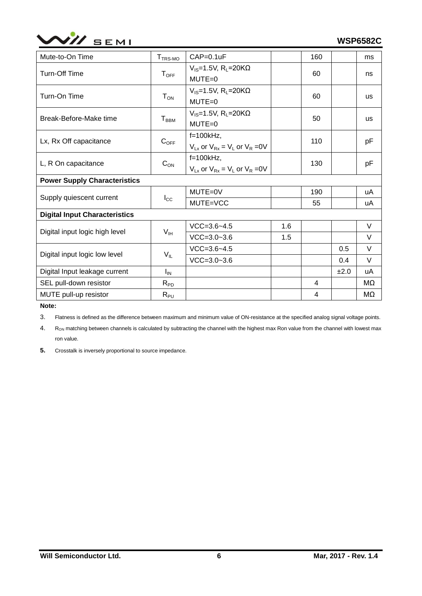

| Mute-to-On Time                      | T <sub>TRS-MO</sub>                                      | $CAP=0.1uF$                                  |                                                                               | 160 | ms        |
|--------------------------------------|----------------------------------------------------------|----------------------------------------------|-------------------------------------------------------------------------------|-----|-----------|
| Turn-Off Time                        | $T_{OFF}$                                                | $V_{IS}$ =1.5V, R <sub>L</sub> =20K $\Omega$ |                                                                               |     | ns        |
|                                      |                                                          | $MUTE = 0$                                   |                                                                               |     |           |
| Turn-On Time                         | $T_{ON}$                                                 | $V_{IS}$ =1.5V, R <sub>L</sub> =20K $\Omega$ |                                                                               |     | <b>us</b> |
|                                      |                                                          | $MUTE = 0$                                   | 60<br>60<br>50<br>110<br>130<br>190<br>55<br>1.6<br>1.5<br>0.5<br>0.4<br>±2.0 |     |           |
| Break-Before-Make time               | T <sub>BBM</sub>                                         | $V_{IS}$ =1.5V, R <sub>L</sub> =20K $\Omega$ |                                                                               |     | <b>us</b> |
|                                      |                                                          | $MUTE = 0$                                   |                                                                               |     |           |
| Lx, Rx Off capacitance               | $C_{OFF}$                                                | $f=100kHz$ ,                                 |                                                                               |     | pF        |
|                                      | $V_{Lx}$ or $V_{Rx} = V_L$ or $V_R = 0V$<br>$f=100kHz$ , |                                              |                                                                               |     |           |
| L, R On capacitance                  | $C_{ON}$                                                 |                                              |                                                                               |     | pF        |
|                                      | $V_{Lx}$ or $V_{Rx} = V_L$ or $V_R = 0V$                 |                                              |                                                                               |     |           |
| <b>Power Supply Characteristics</b>  |                                                          |                                              |                                                                               |     |           |
| Supply quiescent current             |                                                          | MUTE=0V                                      |                                                                               |     | uA        |
|                                      | $I_{\rm CC}$                                             | MUTE=VCC                                     |                                                                               |     | uA        |
| <b>Digital Input Characteristics</b> |                                                          |                                              |                                                                               |     |           |
|                                      |                                                          | $VCC = 3.6 - 4.5$                            |                                                                               |     | V         |
| Digital input logic high level       | $V_{IH}$                                                 | $VCC = 3.0 - 3.6$                            |                                                                               |     | $\vee$    |
|                                      |                                                          | $VCC = 3.6 - 4.5$                            |                                                                               |     | V         |
| Digital input logic low level        | $V_{IL}$                                                 | $VCC = 3.0 - 3.6$                            |                                                                               |     | V         |
| Digital Input leakage current        | $I_{IN}$                                                 |                                              |                                                                               |     | uA        |
| SEL pull-down resistor               | $R_{PD}$                                                 |                                              |                                                                               | 4   | MΩ        |
| MUTE pull-up resistor                | $R_{PU}$                                                 |                                              |                                                                               | 4   | MΩ        |

**Note:**

3. Flatness is defined as the difference between maximum and minimum value of ON-resistance at the specified analog signal voltage points.

4. Ron matching between channels is calculated by subtracting the channel with the highest max Ron value from the channel with lowest max ron value.

**5.** Crosstalk is inversely proportional to source impedance.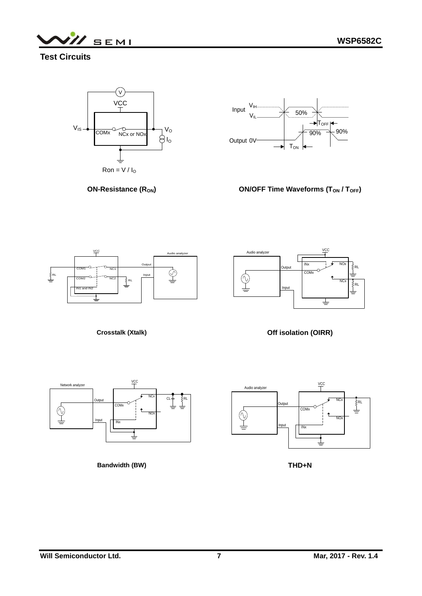**WSP6582C**



**Test Circuits**





**ON-Resistance (R<sub>ON</sub>)** 







**Crosstalk (Xtalk)**

**Off isolation (OIRR)**



**Bandwidth (BW)**



**THD+N**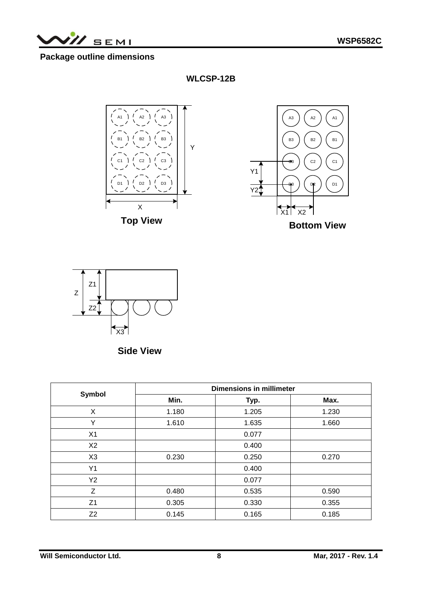**II** SEMI

## **Package outline dimensions**

**WLCSP-12B**





**Side View**

|                | <b>Dimensions in millimeter</b> |                |       |  |  |
|----------------|---------------------------------|----------------|-------|--|--|
| <b>Symbol</b>  | Min.                            | Typ.           | Max.  |  |  |
| X              | 1.180                           | 1.205          | 1.230 |  |  |
| Υ              | 1.610                           | 1.635<br>1.660 |       |  |  |
| X1             |                                 | 0.077          |       |  |  |
| X <sub>2</sub> |                                 | 0.400          |       |  |  |
| X <sub>3</sub> | 0.230                           | 0.250          | 0.270 |  |  |
| Y1             |                                 | 0.400          |       |  |  |
| Y2             |                                 | 0.077          |       |  |  |
| Z              | 0.480                           | 0.535          | 0.590 |  |  |
| Z1             | 0.305                           | 0.330          | 0.355 |  |  |
| Z <sub>2</sub> | 0.145                           | 0.165          | 0.185 |  |  |